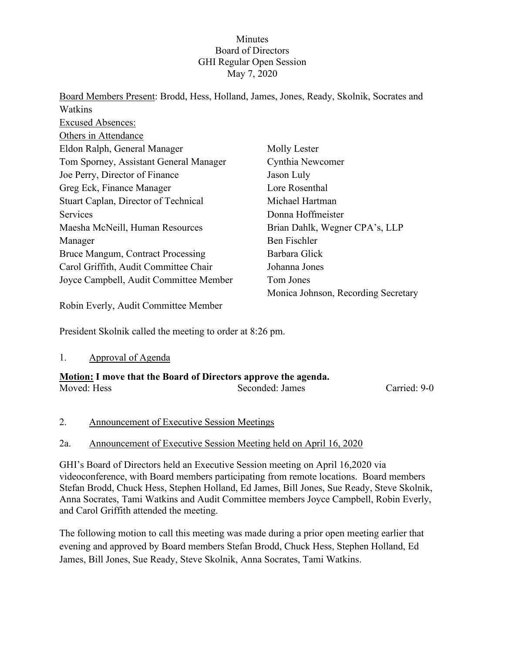# Minutes Board of Directors GHI Regular Open Session May 7, 2020

| Board Members Present: Brodd, Hess, Holland, James, Jones, Ready, Skolnik, Socrates and |                                     |
|-----------------------------------------------------------------------------------------|-------------------------------------|
| Watkins                                                                                 |                                     |
| <b>Excused Absences:</b>                                                                |                                     |
| Others in Attendance                                                                    |                                     |
| Eldon Ralph, General Manager                                                            | Molly Lester                        |
| Tom Sporney, Assistant General Manager                                                  | Cynthia Newcomer                    |
| Joe Perry, Director of Finance                                                          | Jason Luly                          |
| Greg Eck, Finance Manager                                                               | Lore Rosenthal                      |
| Stuart Caplan, Director of Technical                                                    | Michael Hartman                     |
| <b>Services</b>                                                                         | Donna Hoffmeister                   |
| Maesha McNeill, Human Resources                                                         | Brian Dahlk, Wegner CPA's, LLP      |
| Manager                                                                                 | <b>Ben Fischler</b>                 |
| Bruce Mangum, Contract Processing                                                       | Barbara Glick                       |
| Carol Griffith, Audit Committee Chair                                                   | Johanna Jones                       |
| Joyce Campbell, Audit Committee Member                                                  | Tom Jones                           |
|                                                                                         | Monica Johnson, Recording Secretary |

Robin Everly, Audit Committee Member

President Skolnik called the meeting to order at 8:26 pm.

#### 1. Approval of Agenda

| <b>Motion:</b> I move that the Board of Directors approve the agenda. |                 |              |  |
|-----------------------------------------------------------------------|-----------------|--------------|--|
| Moved: Hess                                                           | Seconded: James | Carried: 9-0 |  |

#### 2. Announcement of Executive Session Meetings

#### 2a. Announcement of Executive Session Meeting held on April 16, 2020

GHI's Board of Directors held an Executive Session meeting on April 16,2020 via videoconference, with Board members participating from remote locations. Board members Stefan Brodd, Chuck Hess, Stephen Holland, Ed James, Bill Jones, Sue Ready, Steve Skolnik, Anna Socrates, Tami Watkins and Audit Committee members Joyce Campbell, Robin Everly, and Carol Griffith attended the meeting.

The following motion to call this meeting was made during a prior open meeting earlier that evening and approved by Board members Stefan Brodd, Chuck Hess, Stephen Holland, Ed James, Bill Jones, Sue Ready, Steve Skolnik, Anna Socrates, Tami Watkins.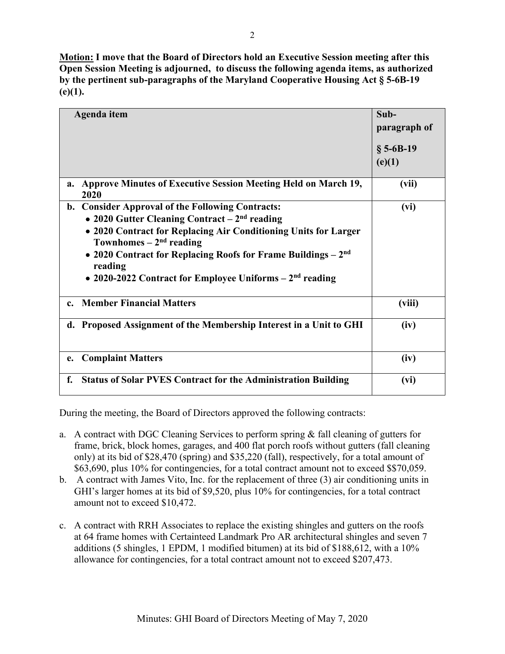**Motion: I move that the Board of Directors hold an Executive Session meeting after this Open Session Meeting is adjourned, to discuss the following agenda items, as authorized by the pertinent sub-paragraphs of the Maryland Cooperative Housing Act § 5-6B-19 (e)(1).** 

| Agenda item                                                                                                                                                                                                                                                                                                                                 | Sub-<br>paragraph of<br>$§ 5-6B-19$<br>(e)(1) |
|---------------------------------------------------------------------------------------------------------------------------------------------------------------------------------------------------------------------------------------------------------------------------------------------------------------------------------------------|-----------------------------------------------|
| <b>Approve Minutes of Executive Session Meeting Held on March 19,</b><br>a.<br>2020                                                                                                                                                                                                                                                         | (vii)                                         |
| b. Consider Approval of the Following Contracts:<br>• 2020 Gutter Cleaning Contract $-2nd$ reading<br>• 2020 Contract for Replacing Air Conditioning Units for Larger<br>Townhomes $-2nd$ reading<br>• 2020 Contract for Replacing Roofs for Frame Buildings $-2nd$<br>reading<br>• 2020-2022 Contract for Employee Uniforms $-2nd$ reading | (vi)                                          |
| c. Member Financial Matters                                                                                                                                                                                                                                                                                                                 | (viii)                                        |
| d. Proposed Assignment of the Membership Interest in a Unit to GHI                                                                                                                                                                                                                                                                          | (iv)                                          |
| <b>Complaint Matters</b><br>e.                                                                                                                                                                                                                                                                                                              | (iv)                                          |
| <b>Status of Solar PVES Contract for the Administration Building</b><br>f.                                                                                                                                                                                                                                                                  | (vi)                                          |

During the meeting, the Board of Directors approved the following contracts:

- a. A contract with DGC Cleaning Services to perform spring & fall cleaning of gutters for frame, brick, block homes, garages, and 400 flat porch roofs without gutters (fall cleaning only) at its bid of \$28,470 (spring) and \$35,220 (fall), respectively, for a total amount of \$63,690, plus 10% for contingencies, for a total contract amount not to exceed \$\$70,059.
- b. A contract with James Vito, Inc. for the replacement of three (3) air conditioning units in GHI's larger homes at its bid of \$9,520, plus 10% for contingencies, for a total contract amount not to exceed \$10,472.
- c. A contract with RRH Associates to replace the existing shingles and gutters on the roofs at 64 frame homes with Certainteed Landmark Pro AR architectural shingles and seven 7 additions (5 shingles, 1 EPDM, 1 modified bitumen) at its bid of \$188,612, with a 10% allowance for contingencies, for a total contract amount not to exceed \$207,473.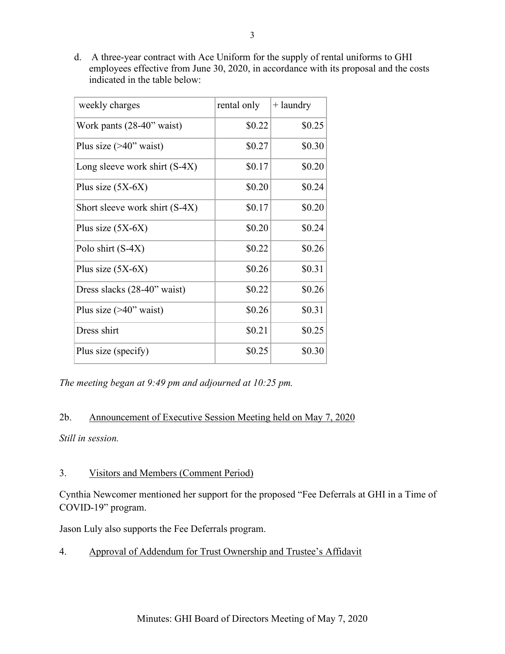d. A three-year contract with Ace Uniform for the supply of rental uniforms to GHI employees effective from June 30, 2020, in accordance with its proposal and the costs indicated in the table below:

| weekly charges                  | rental only | $+$ laundry |
|---------------------------------|-------------|-------------|
| Work pants $(28-40)$ " waist)   | \$0.22      | \$0.25      |
| Plus size $(>40$ " waist)       | \$0.27      | \$0.30      |
| Long sleeve work shirt $(S-4X)$ | \$0.17      | \$0.20      |
| Plus size $(5X-6X)$             | \$0.20      | \$0.24      |
| Short sleeve work shirt (S-4X)  | \$0.17      | \$0.20      |
| Plus size $(5X-6X)$             | \$0.20      | \$0.24      |
| Polo shirt (S-4X)               | \$0.22      | \$0.26      |
| Plus size $(5X-6X)$             | \$0.26      | \$0.31      |
| Dress slacks (28-40" waist)     | \$0.22      | \$0.26      |
| Plus size $(>40$ " waist)       | \$0.26      | \$0.31      |
| Dress shirt                     | \$0.21      | \$0.25      |
| Plus size (specify)             | \$0.25      | \$0.30      |

*The meeting began at 9:49 pm and adjourned at 10:25 pm.*

### 2b. Announcement of Executive Session Meeting held on May 7, 2020

*Still in session.*

# 3. Visitors and Members (Comment Period)

Cynthia Newcomer mentioned her support for the proposed "Fee Deferrals at GHI in a Time of COVID-19" program.

Jason Luly also supports the Fee Deferrals program.

4. Approval of Addendum for Trust Ownership and Trustee's Affidavit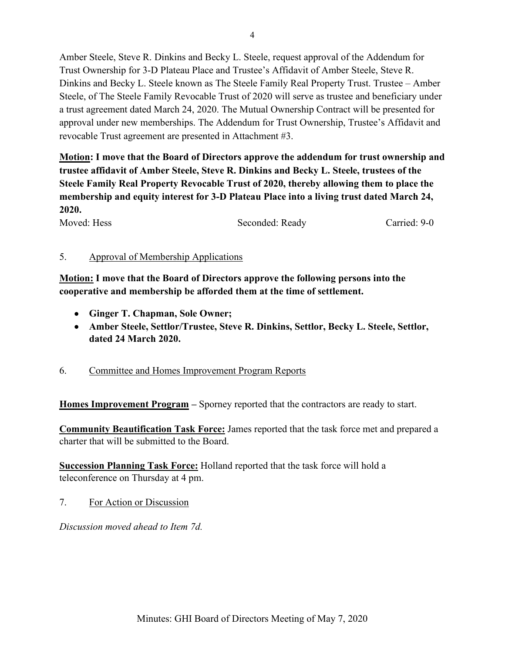Amber Steele, Steve R. Dinkins and Becky L. Steele, request approval of the Addendum for Trust Ownership for 3-D Plateau Place and Trustee's Affidavit of Amber Steele, Steve R. Dinkins and Becky L. Steele known as The Steele Family Real Property Trust. Trustee – Amber Steele, of The Steele Family Revocable Trust of 2020 will serve as trustee and beneficiary under a trust agreement dated March 24, 2020. The Mutual Ownership Contract will be presented for approval under new memberships. The Addendum for Trust Ownership, Trustee's Affidavit and revocable Trust agreement are presented in Attachment #3.

**Motion: I move that the Board of Directors approve the addendum for trust ownership and trustee affidavit of Amber Steele, Steve R. Dinkins and Becky L. Steele, trustees of the Steele Family Real Property Revocable Trust of 2020, thereby allowing them to place the membership and equity interest for 3-D Plateau Place into a living trust dated March 24, 2020.**

Moved: Hess Seconded: Ready Carried: 9-0

# 5. Approval of Membership Applications

**Motion: I move that the Board of Directors approve the following persons into the cooperative and membership be afforded them at the time of settlement.**

- **Ginger T. Chapman, Sole Owner;**
- **Amber Steele, Settlor/Trustee, Steve R. Dinkins, Settlor, Becky L. Steele, Settlor, dated 24 March 2020.**
- 6. Committee and Homes Improvement Program Reports

**Homes Improvement Program –** Sporney reported that the contractors are ready to start.

**Community Beautification Task Force:** James reported that the task force met and prepared a charter that will be submitted to the Board.

**Succession Planning Task Force:** Holland reported that the task force will hold a teleconference on Thursday at 4 pm.

7. For Action or Discussion

*Discussion moved ahead to Item 7d.*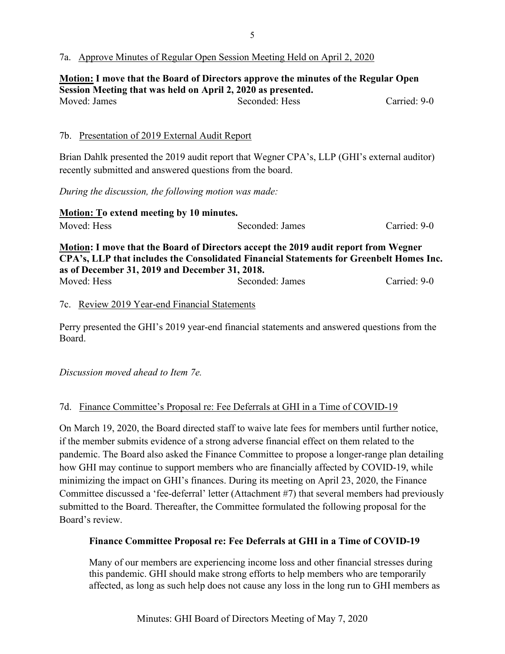### 7a. Approve Minutes of Regular Open Session Meeting Held on April 2, 2020

**Motion: I move that the Board of Directors approve the minutes of the Regular Open Session Meeting that was held on April 2, 2020 as presented.** Moved: James Seconded: Hess Carried: 9-0

### 7b. Presentation of 2019 External Audit Report

Brian Dahlk presented the 2019 audit report that Wegner CPA's, LLP (GHI's external auditor) recently submitted and answered questions from the board.

*During the discussion, the following motion was made:*

| Motion: To extend meeting by 10 minutes.       |                                                                                         |              |
|------------------------------------------------|-----------------------------------------------------------------------------------------|--------------|
| Moved: Hess                                    | Seconded: James                                                                         | Carried: 9-0 |
|                                                | Motion: I move that the Board of Directors accept the 2019 audit report from Wegner     |              |
|                                                | CPA's, LLP that includes the Consolidated Financial Statements for Greenbelt Homes Inc. |              |
| as of December 31, 2019 and December 31, 2018. |                                                                                         |              |
| Moved: Hess                                    | Seconded: James                                                                         | Carried: 9-0 |

#### 7c. Review 2019 Year-end Financial Statements

Perry presented the GHI's 2019 year-end financial statements and answered questions from the Board.

*Discussion moved ahead to Item 7e.*

# 7d. Finance Committee's Proposal re: Fee Deferrals at GHI in a Time of COVID-19

On March 19, 2020, the Board directed staff to waive late fees for members until further notice, if the member submits evidence of a strong adverse financial effect on them related to the pandemic. The Board also asked the Finance Committee to propose a longer-range plan detailing how GHI may continue to support members who are financially affected by COVID-19, while minimizing the impact on GHI's finances. During its meeting on April 23, 2020, the Finance Committee discussed a 'fee-deferral' letter (Attachment #7) that several members had previously submitted to the Board. Thereafter, the Committee formulated the following proposal for the Board's review.

# **Finance Committee Proposal re: Fee Deferrals at GHI in a Time of COVID-19**

Many of our members are experiencing income loss and other financial stresses during this pandemic. GHI should make strong efforts to help members who are temporarily affected, as long as such help does not cause any loss in the long run to GHI members as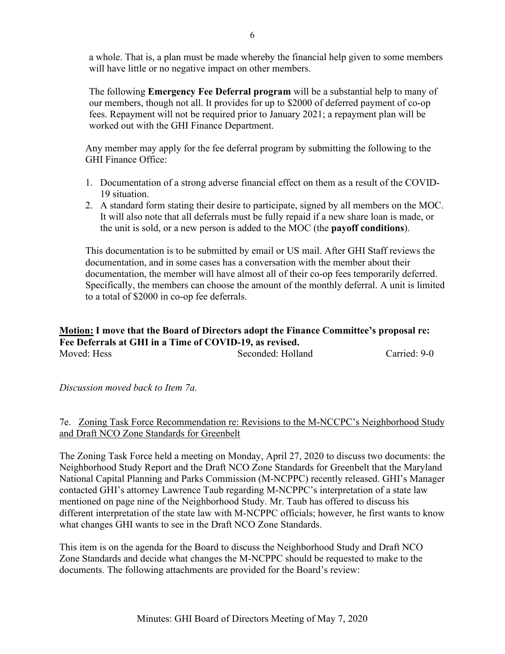a whole. That is, a plan must be made whereby the financial help given to some members will have little or no negative impact on other members.

The following **Emergency Fee Deferral program** will be a substantial help to many of our members, though not all. It provides for up to \$2000 of deferred payment of co-op fees. Repayment will not be required prior to January 2021; a repayment plan will be worked out with the GHI Finance Department.

Any member may apply for the fee deferral program by submitting the following to the GHI Finance Office:

- 1. Documentation of a strong adverse financial effect on them as a result of the COVID-19 situation.
- 2. A standard form stating their desire to participate, signed by all members on the MOC. It will also note that all deferrals must be fully repaid if a new share loan is made, or the unit is sold, or a new person is added to the MOC (the **payoff conditions**).

This documentation is to be submitted by email or US mail. After GHI Staff reviews the documentation, and in some cases has a conversation with the member about their documentation, the member will have almost all of their co-op fees temporarily deferred. Specifically, the members can choose the amount of the monthly deferral. A unit is limited to a total of \$2000 in co-op fee deferrals.

### **Motion: I move that the Board of Directors adopt the Finance Committee's proposal re: Fee Deferrals at GHI in a Time of COVID-19, as revised.**  Moved: Hess Seconded: Holland Carried: 9-0

#### *Discussion moved back to Item 7a.*

# 7e. Zoning Task Force Recommendation re: Revisions to the M-NCCPC's Neighborhood Study and Draft NCO Zone Standards for Greenbelt

The Zoning Task Force held a meeting on Monday, April 27, 2020 to discuss two documents: the Neighborhood Study Report and the Draft NCO Zone Standards for Greenbelt that the Maryland National Capital Planning and Parks Commission (M-NCPPC) recently released. GHI's Manager contacted GHI's attorney Lawrence Taub regarding M-NCPPC's interpretation of a state law mentioned on page nine of the Neighborhood Study. Mr. Taub has offered to discuss his different interpretation of the state law with M-NCPPC officials; however, he first wants to know what changes GHI wants to see in the Draft NCO Zone Standards.

This item is on the agenda for the Board to discuss the Neighborhood Study and Draft NCO Zone Standards and decide what changes the M-NCPPC should be requested to make to the documents. The following attachments are provided for the Board's review: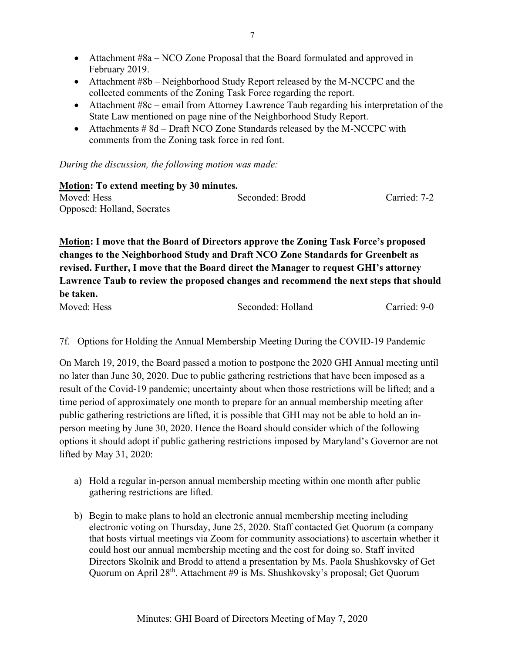- Attachment #8a NCO Zone Proposal that the Board formulated and approved in February 2019.
- Attachment #8b Neighborhood Study Report released by the M-NCCPC and the collected comments of the Zoning Task Force regarding the report.
- Attachment #8c email from Attorney Lawrence Taub regarding his interpretation of the State Law mentioned on page nine of the Neighborhood Study Report.
- Attachments # 8d Draft NCO Zone Standards released by the M-NCCPC with comments from the Zoning task force in red font.

*During the discussion, the following motion was made:*

| <b>Motion: To extend meeting by 30 minutes.</b> |                 |              |  |  |
|-------------------------------------------------|-----------------|--------------|--|--|
| Moved: Hess                                     | Seconded: Brodd | Carried: 7-2 |  |  |
| Opposed: Holland, Socrates                      |                 |              |  |  |

**Motion: I move that the Board of Directors approve the Zoning Task Force's proposed changes to the Neighborhood Study and Draft NCO Zone Standards for Greenbelt as revised. Further, I move that the Board direct the Manager to request GHI's attorney Lawrence Taub to review the proposed changes and recommend the next steps that should be taken.**

Moved: Hess Seconded: Holland Carried: 9-0

# 7f. Options for Holding the Annual Membership Meeting During the COVID-19 Pandemic

On March 19, 2019, the Board passed a motion to postpone the 2020 GHI Annual meeting until no later than June 30, 2020. Due to public gathering restrictions that have been imposed as a result of the Covid-19 pandemic; uncertainty about when those restrictions will be lifted; and a time period of approximately one month to prepare for an annual membership meeting after public gathering restrictions are lifted, it is possible that GHI may not be able to hold an inperson meeting by June 30, 2020. Hence the Board should consider which of the following options it should adopt if public gathering restrictions imposed by Maryland's Governor are not lifted by May 31, 2020:

- a) Hold a regular in-person annual membership meeting within one month after public gathering restrictions are lifted.
- b) Begin to make plans to hold an electronic annual membership meeting including electronic voting on Thursday, June 25, 2020. Staff contacted Get Quorum (a company that hosts virtual meetings via Zoom for community associations) to ascertain whether it could host our annual membership meeting and the cost for doing so. Staff invited Directors Skolnik and Brodd to attend a presentation by Ms. Paola Shushkovsky of Get Quorum on April 28<sup>th</sup>. Attachment #9 is Ms. Shushkovsky's proposal; Get Quorum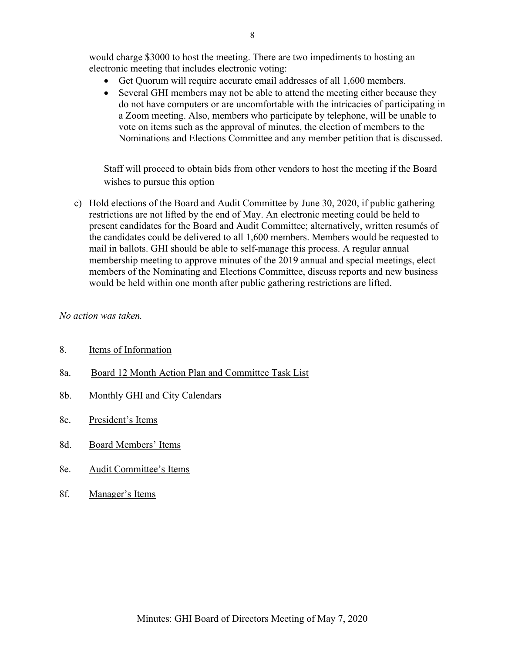would charge \$3000 to host the meeting. There are two impediments to hosting an electronic meeting that includes electronic voting:

- Get Quorum will require accurate email addresses of all 1,600 members.
- Several GHI members may not be able to attend the meeting either because they do not have computers or are uncomfortable with the intricacies of participating in a Zoom meeting. Also, members who participate by telephone, will be unable to vote on items such as the approval of minutes, the election of members to the Nominations and Elections Committee and any member petition that is discussed.

Staff will proceed to obtain bids from other vendors to host the meeting if the Board wishes to pursue this option

c) Hold elections of the Board and Audit Committee by June 30, 2020, if public gathering restrictions are not lifted by the end of May. An electronic meeting could be held to present candidates for the Board and Audit Committee; alternatively, written resumés of the candidates could be delivered to all 1,600 members. Members would be requested to mail in ballots. GHI should be able to self-manage this process. A regular annual membership meeting to approve minutes of the 2019 annual and special meetings, elect members of the Nominating and Elections Committee, discuss reports and new business would be held within one month after public gathering restrictions are lifted.

#### *No action was taken.*

- 8. Items of Information
- 8a. Board 12 Month Action Plan and Committee Task List
- 8b. Monthly GHI and City Calendars
- 8c. President's Items
- 8d. Board Members' Items
- 8e. Audit Committee's Items
- 8f. Manager's Items